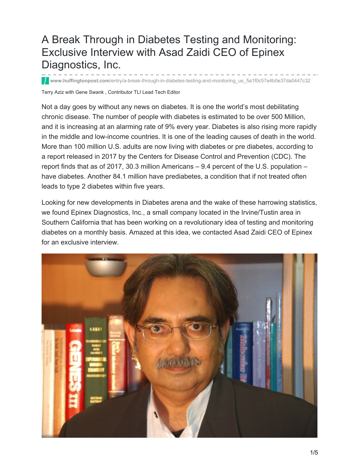# A Break Through in Diabetes Testing and Monitoring: Exclusive Interview with Asad Zaidi CEO of Epinex Diagnostics, Inc.

**www.huffingtonpost.com**[/entry/a-break-through-in-diabetes-testing-and-monitoring\\_us\\_5a1f0c57e4b0e37da0447c32](https://www.huffingtonpost.com/entry/a-break-through-in-diabetes-testing-and-monitoring_us_5a1f0c57e4b0e37da0447c32)

Terry Aziz with Gene Swank , Contributor TLI Lead Tech Editor

Not a day goes by without any news on diabetes. It is one the world's most debilitating chronic disease. The number of people with diabetes is estimated to be over 500 Million, and it is increasing at an alarming rate of 9% every year. Diabetes is also rising more rapidly in the middle and low-income countries. It is one of the leading causes of death in the world. More than 100 million U.S. adults are now living with diabetes or pre diabetes, according to a report released in 2017 by the Centers for Disease Control and Prevention (CDC). The report finds that as of 2017, 30.3 million Americans – 9.4 percent of the U.S. population – have diabetes. Another 84.1 million have prediabetes, a condition that if not treated often leads to type 2 diabetes within five years.

Looking for new developments in Diabetes arena and the wake of these harrowing statistics, we found Epinex Diagnostics, Inc., a small company located in the Irvine/Tustin area in Southern California that has been working on a revolutionary idea of testing and monitoring diabetes on a monthly basis. Amazed at this idea, we contacted Asad Zaidi CEO of Epinex for an exclusive interview.

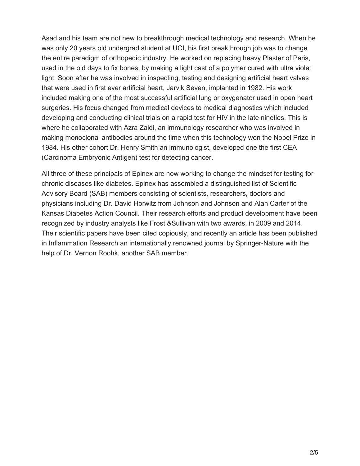Asad and his team are not new to breakthrough medical technology and research. When he was only 20 years old undergrad student at UCI, his first breakthrough job was to change the entire paradigm of orthopedic industry. He worked on replacing heavy Plaster of Paris, used in the old days to fix bones, by making a light cast of a polymer cured with ultra violet light. Soon after he was involved in inspecting, testing and designing artificial heart valves that were used in first ever artificial heart, Jarvik Seven, implanted in 1982. His work included making one of the most successful artificial lung or oxygenator used in open heart surgeries. His focus changed from medical devices to medical diagnostics which included developing and conducting clinical trials on a rapid test for HIV in the late nineties. This is where he collaborated with Azra Zaidi, an immunology researcher who was involved in making monoclonal antibodies around the time when this technology won the Nobel Prize in 1984. His other cohort Dr. Henry Smith an immunologist, developed one the first CEA (Carcinoma Embryonic Antigen) test for detecting cancer.

All three of these principals of Epinex are now working to change the mindset for testing for chronic diseases like diabetes. Epinex has assembled a distinguished list of Scientific Advisory Board (SAB) members consisting of scientists, researchers, doctors and physicians including Dr. David Horwitz from Johnson and Johnson and Alan Carter of the Kansas Diabetes Action Council. Their research efforts and product development have been recognized by industry analysts like Frost &Sullivan with two awards, in 2009 and 2014. Their scientific papers have been cited copiously, and recently an article has been published in Inflammation Research an internationally renowned journal by Springer-Nature with the help of Dr. Vernon Roohk, another SAB member.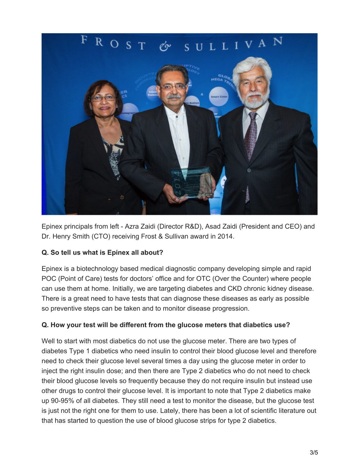

Epinex principals from left - Azra Zaidi (Director R&D), Asad Zaidi (President and CEO) and Dr. Henry Smith (CTO) receiving Frost & Sullivan award in 2014.

## **Q. So tell us what is Epinex all about?**

Epinex is a biotechnology based medical diagnostic company developing simple and rapid POC (Point of Care) tests for doctors' office and for OTC (Over the Counter) where people can use them at home. Initially, we are targeting diabetes and CKD chronic kidney disease. There is a great need to have tests that can diagnose these diseases as early as possible so preventive steps can be taken and to monitor disease progression.

#### **Q. How your test will be different from the glucose meters that diabetics use?**

Well to start with most diabetics do not use the glucose meter. There are two types of diabetes Type 1 diabetics who need insulin to control their blood glucose level and therefore need to check their glucose level several times a day using the glucose meter in order to inject the right insulin dose; and then there are Type 2 diabetics who do not need to check their blood glucose levels so frequently because they do not require insulin but instead use other drugs to control their glucose level. It is important to note that Type 2 diabetics make up 90-95% of all diabetes. They still need a test to monitor the disease, but the glucose test is just not the right one for them to use. Lately, there has been a lot of scientific literature out that has started to question the use of blood glucose strips for type 2 diabetics.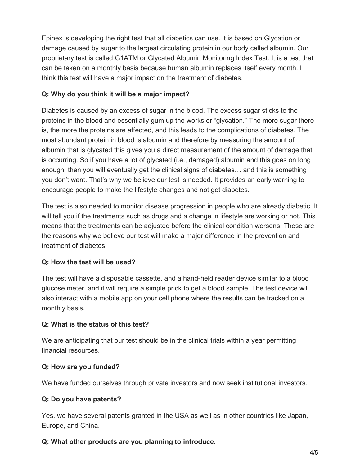Epinex is developing the right test that all diabetics can use. It is based on Glycation or damage caused by sugar to the largest circulating protein in our body called albumin. Our proprietary test is called G1ATM or Glycated Albumin Monitoring Index Test. It is a test that can be taken on a monthly basis because human albumin replaces itself every month. I think this test will have a major impact on the treatment of diabetes.

## **Q: Why do you think it will be a major impact?**

Diabetes is caused by an excess of sugar in the blood. The excess sugar sticks to the proteins in the blood and essentially gum up the works or "glycation." The more sugar there is, the more the proteins are affected, and this leads to the complications of diabetes. The most abundant protein in blood is albumin and therefore by measuring the amount of albumin that is glycated this gives you a direct measurement of the amount of damage that is occurring. So if you have a lot of glycated (i.e., damaged) albumin and this goes on long enough, then you will eventually get the clinical signs of diabetes… and this is something you don't want. That's why we believe our test is needed. It provides an early warning to encourage people to make the lifestyle changes and not get diabetes.

The test is also needed to monitor disease progression in people who are already diabetic. It will tell you if the treatments such as drugs and a change in lifestyle are working or not. This means that the treatments can be adjusted before the clinical condition worsens. These are the reasons why we believe our test will make a major difference in the prevention and treatment of diabetes.

#### **Q: How the test will be used?**

The test will have a disposable cassette, and a hand-held reader device similar to a blood glucose meter, and it will require a simple prick to get a blood sample. The test device will also interact with a mobile app on your cell phone where the results can be tracked on a monthly basis.

#### **Q: What is the status of this test?**

We are anticipating that our test should be in the clinical trials within a year permitting financial resources.

#### **Q: How are you funded?**

We have funded ourselves through private investors and now seek institutional investors.

## **Q: Do you have patents?**

Yes, we have several patents granted in the USA as well as in other countries like Japan, Europe, and China.

## **Q: What other products are you planning to introduce.**